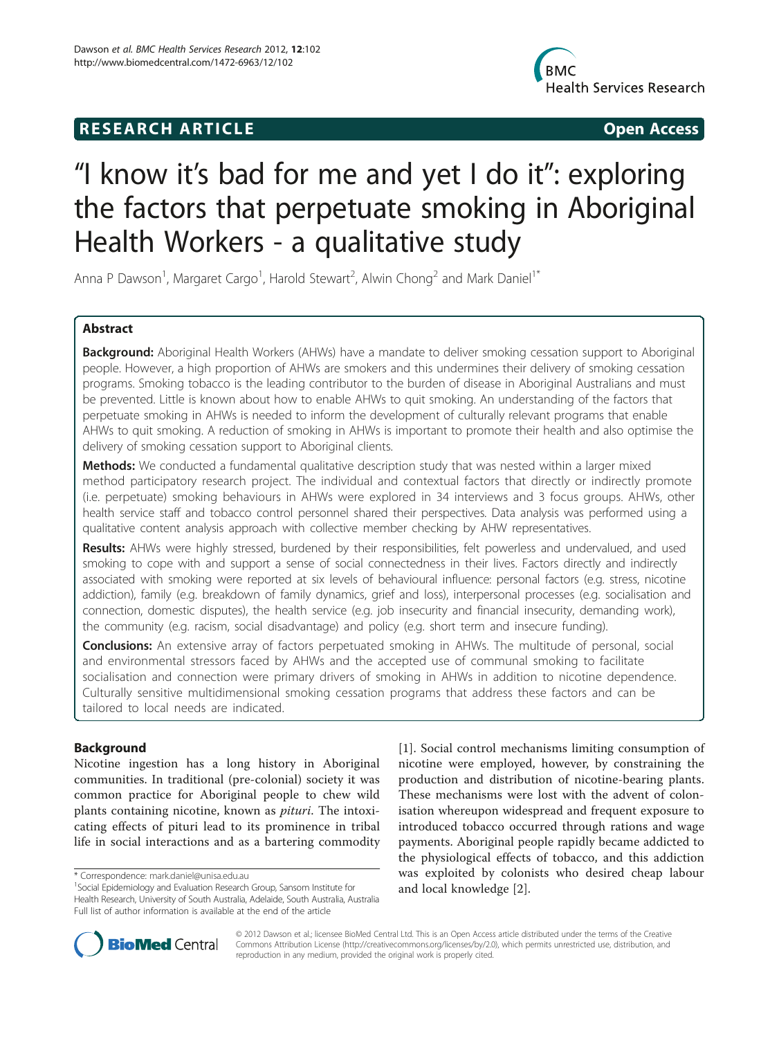## R E S EA RCH A R TIC L E Open Access



# "I know it's bad for me and yet I do it": exploring the factors that perpetuate smoking in Aboriginal Health Workers - a qualitative study

Anna P Dawson<sup>1</sup>, Margaret Cargo<sup>1</sup>, Harold Stewart<sup>2</sup>, Alwin Chong<sup>2</sup> and Mark Daniel<sup>1\*</sup>

## Abstract

Background: Aboriginal Health Workers (AHWs) have a mandate to deliver smoking cessation support to Aboriginal people. However, a high proportion of AHWs are smokers and this undermines their delivery of smoking cessation programs. Smoking tobacco is the leading contributor to the burden of disease in Aboriginal Australians and must be prevented. Little is known about how to enable AHWs to quit smoking. An understanding of the factors that perpetuate smoking in AHWs is needed to inform the development of culturally relevant programs that enable AHWs to quit smoking. A reduction of smoking in AHWs is important to promote their health and also optimise the delivery of smoking cessation support to Aboriginal clients.

Methods: We conducted a fundamental qualitative description study that was nested within a larger mixed method participatory research project. The individual and contextual factors that directly or indirectly promote (i.e. perpetuate) smoking behaviours in AHWs were explored in 34 interviews and 3 focus groups. AHWs, other health service staff and tobacco control personnel shared their perspectives. Data analysis was performed using a qualitative content analysis approach with collective member checking by AHW representatives.

Results: AHWs were highly stressed, burdened by their responsibilities, felt powerless and undervalued, and used smoking to cope with and support a sense of social connectedness in their lives. Factors directly and indirectly associated with smoking were reported at six levels of behavioural influence: personal factors (e.g. stress, nicotine addiction), family (e.g. breakdown of family dynamics, grief and loss), interpersonal processes (e.g. socialisation and connection, domestic disputes), the health service (e.g. job insecurity and financial insecurity, demanding work), the community (e.g. racism, social disadvantage) and policy (e.g. short term and insecure funding).

**Conclusions:** An extensive array of factors perpetuated smoking in AHWs. The multitude of personal, social and environmental stressors faced by AHWs and the accepted use of communal smoking to facilitate socialisation and connection were primary drivers of smoking in AHWs in addition to nicotine dependence. Culturally sensitive multidimensional smoking cessation programs that address these factors and can be tailored to local needs are indicated.

## Background

Nicotine ingestion has a long history in Aboriginal communities. In traditional (pre-colonial) society it was common practice for Aboriginal people to chew wild plants containing nicotine, known as pituri. The intoxicating effects of pituri lead to its prominence in tribal life in social interactions and as a bartering commodity [1]. Social control mechanisms limiting consumption of nicotine were employed, however, by constraining the production and distribution of nicotine-bearing plants. These mechanisms were lost with the advent of colonisation whereupon widespread and frequent exposure to introduced tobacco occurred through rations and wage payments. Aboriginal people rapidly became addicted to the physiological effects of tobacco, and this addiction was exploited by colonists who desired cheap labour and local knowledge [2].



© 2012 Dawson et al.; licensee BioMed Central Ltd. This is an Open Access article distributed under the terms of the Creative Commons Attribution License (http://creativecommons.org/licenses/by/2.0), which permits unrestricted use, distribution, and reproduction in any medium, provided the original work is properly cited.

<sup>\*</sup> Correspondence: mark.daniel@unisa.edu.au <sup>1</sup>

<sup>&</sup>lt;sup>1</sup> Social Epidemiology and Evaluation Research Group, Sansom Institute for Health Research, University of South Australia, Adelaide, South Australia, Australia Full list of author information is available at the end of the article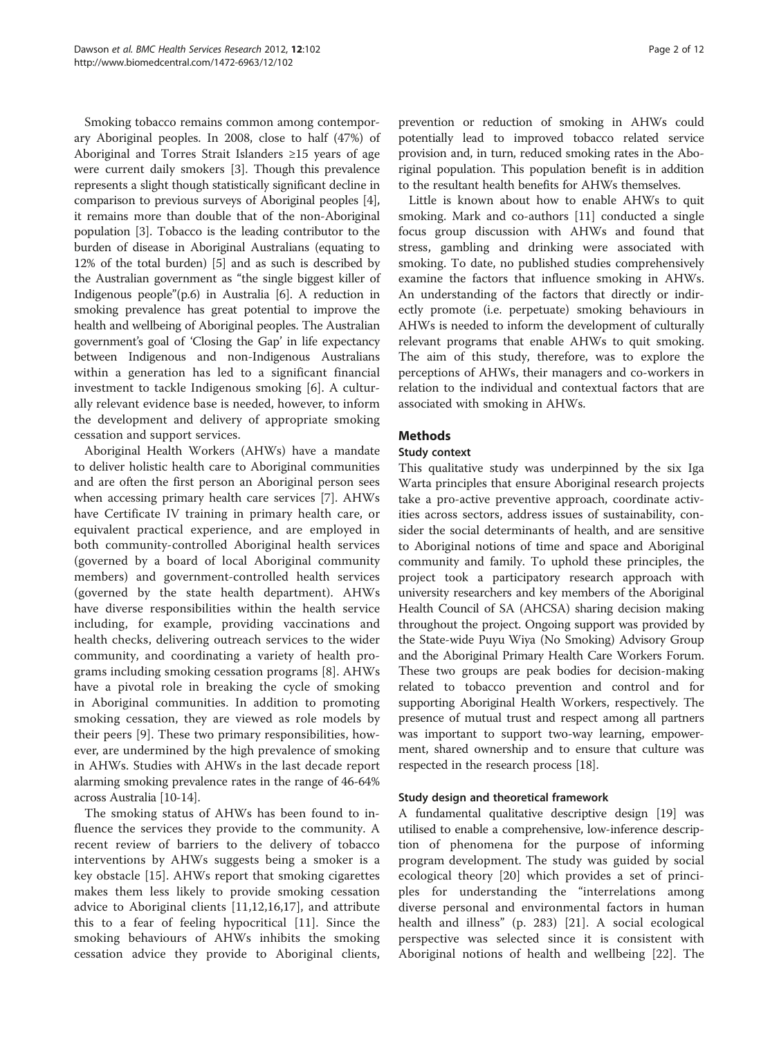Smoking tobacco remains common among contemporary Aboriginal peoples. In 2008, close to half (47%) of Aboriginal and Torres Strait Islanders ≥15 years of age were current daily smokers [3]. Though this prevalence represents a slight though statistically significant decline in comparison to previous surveys of Aboriginal peoples [4], it remains more than double that of the non-Aboriginal population [3]. Tobacco is the leading contributor to the burden of disease in Aboriginal Australians (equating to 12% of the total burden) [5] and as such is described by the Australian government as "the single biggest killer of Indigenous people"(p.6) in Australia [6]. A reduction in smoking prevalence has great potential to improve the health and wellbeing of Aboriginal peoples. The Australian government's goal of 'Closing the Gap' in life expectancy between Indigenous and non-Indigenous Australians within a generation has led to a significant financial investment to tackle Indigenous smoking [6]. A culturally relevant evidence base is needed, however, to inform the development and delivery of appropriate smoking cessation and support services.

Aboriginal Health Workers (AHWs) have a mandate to deliver holistic health care to Aboriginal communities and are often the first person an Aboriginal person sees when accessing primary health care services [7]. AHWs have Certificate IV training in primary health care, or equivalent practical experience, and are employed in both community-controlled Aboriginal health services (governed by a board of local Aboriginal community members) and government-controlled health services (governed by the state health department). AHWs have diverse responsibilities within the health service including, for example, providing vaccinations and health checks, delivering outreach services to the wider community, and coordinating a variety of health programs including smoking cessation programs [8]. AHWs have a pivotal role in breaking the cycle of smoking in Aboriginal communities. In addition to promoting smoking cessation, they are viewed as role models by their peers [9]. These two primary responsibilities, however, are undermined by the high prevalence of smoking in AHWs. Studies with AHWs in the last decade report alarming smoking prevalence rates in the range of 46-64% across Australia [10-14].

The smoking status of AHWs has been found to influence the services they provide to the community. A recent review of barriers to the delivery of tobacco interventions by AHWs suggests being a smoker is a key obstacle [15]. AHWs report that smoking cigarettes makes them less likely to provide smoking cessation advice to Aboriginal clients [11,12,16,17], and attribute this to a fear of feeling hypocritical [11]. Since the smoking behaviours of AHWs inhibits the smoking cessation advice they provide to Aboriginal clients, prevention or reduction of smoking in AHWs could potentially lead to improved tobacco related service provision and, in turn, reduced smoking rates in the Aboriginal population. This population benefit is in addition to the resultant health benefits for AHWs themselves.

Little is known about how to enable AHWs to quit smoking. Mark and co-authors [11] conducted a single focus group discussion with AHWs and found that stress, gambling and drinking were associated with smoking. To date, no published studies comprehensively examine the factors that influence smoking in AHWs. An understanding of the factors that directly or indirectly promote (i.e. perpetuate) smoking behaviours in AHWs is needed to inform the development of culturally relevant programs that enable AHWs to quit smoking. The aim of this study, therefore, was to explore the perceptions of AHWs, their managers and co-workers in relation to the individual and contextual factors that are associated with smoking in AHWs.

## Methods

## Study context

This qualitative study was underpinned by the six Iga Warta principles that ensure Aboriginal research projects take a pro-active preventive approach, coordinate activities across sectors, address issues of sustainability, consider the social determinants of health, and are sensitive to Aboriginal notions of time and space and Aboriginal community and family. To uphold these principles, the project took a participatory research approach with university researchers and key members of the Aboriginal Health Council of SA (AHCSA) sharing decision making throughout the project. Ongoing support was provided by the State-wide Puyu Wiya (No Smoking) Advisory Group and the Aboriginal Primary Health Care Workers Forum. These two groups are peak bodies for decision-making related to tobacco prevention and control and for supporting Aboriginal Health Workers, respectively. The presence of mutual trust and respect among all partners was important to support two-way learning, empowerment, shared ownership and to ensure that culture was respected in the research process [18].

## Study design and theoretical framework

A fundamental qualitative descriptive design [19] was utilised to enable a comprehensive, low-inference description of phenomena for the purpose of informing program development. The study was guided by social ecological theory [20] which provides a set of principles for understanding the "interrelations among diverse personal and environmental factors in human health and illness" (p. 283) [21]. A social ecological perspective was selected since it is consistent with Aboriginal notions of health and wellbeing [22]. The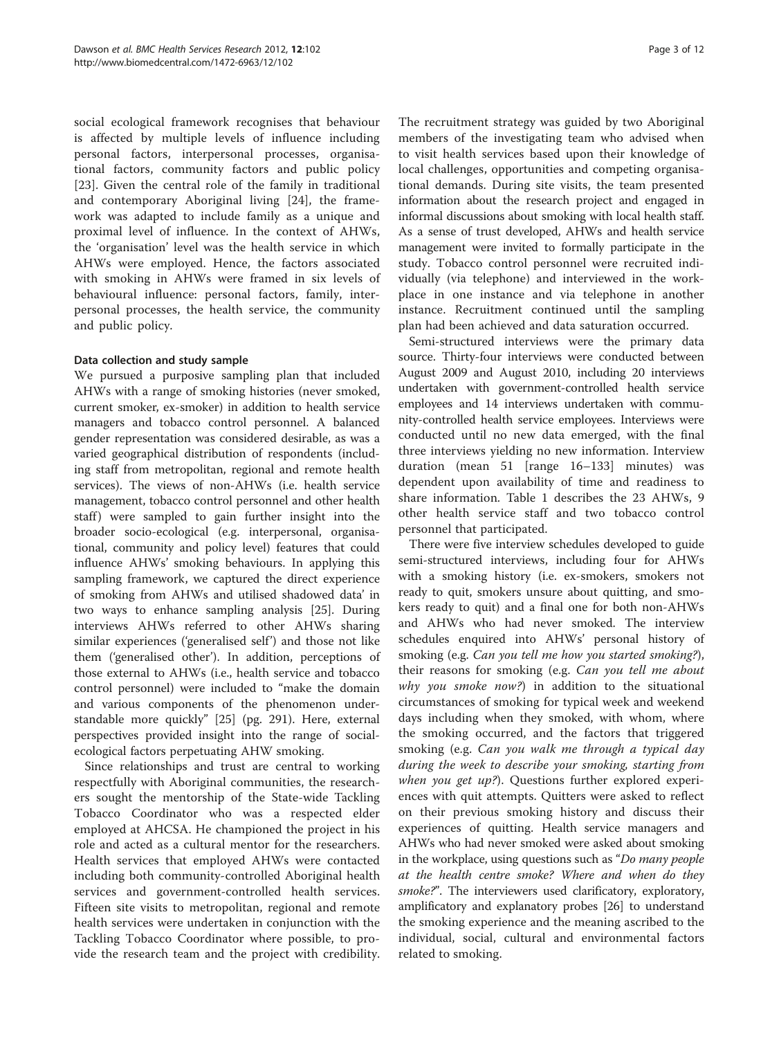social ecological framework recognises that behaviour is affected by multiple levels of influence including personal factors, interpersonal processes, organisational factors, community factors and public policy [23]. Given the central role of the family in traditional and contemporary Aboriginal living [24], the framework was adapted to include family as a unique and proximal level of influence. In the context of AHWs, the 'organisation' level was the health service in which AHWs were employed. Hence, the factors associated with smoking in AHWs were framed in six levels of behavioural influence: personal factors, family, interpersonal processes, the health service, the community and public policy.

## Data collection and study sample

We pursued a purposive sampling plan that included AHWs with a range of smoking histories (never smoked, current smoker, ex-smoker) in addition to health service managers and tobacco control personnel. A balanced gender representation was considered desirable, as was a varied geographical distribution of respondents (including staff from metropolitan, regional and remote health services). The views of non-AHWs (i.e. health service management, tobacco control personnel and other health staff) were sampled to gain further insight into the broader socio-ecological (e.g. interpersonal, organisational, community and policy level) features that could influence AHWs' smoking behaviours. In applying this sampling framework, we captured the direct experience of smoking from AHWs and utilised shadowed data' in two ways to enhance sampling analysis [25]. During interviews AHWs referred to other AHWs sharing similar experiences ('generalised self') and those not like them ('generalised other'). In addition, perceptions of those external to AHWs (i.e., health service and tobacco control personnel) were included to "make the domain and various components of the phenomenon understandable more quickly" [25] (pg. 291). Here, external perspectives provided insight into the range of socialecological factors perpetuating AHW smoking.

Since relationships and trust are central to working respectfully with Aboriginal communities, the researchers sought the mentorship of the State-wide Tackling Tobacco Coordinator who was a respected elder employed at AHCSA. He championed the project in his role and acted as a cultural mentor for the researchers. Health services that employed AHWs were contacted including both community-controlled Aboriginal health services and government-controlled health services. Fifteen site visits to metropolitan, regional and remote health services were undertaken in conjunction with the Tackling Tobacco Coordinator where possible, to provide the research team and the project with credibility.

The recruitment strategy was guided by two Aboriginal members of the investigating team who advised when to visit health services based upon their knowledge of local challenges, opportunities and competing organisational demands. During site visits, the team presented information about the research project and engaged in informal discussions about smoking with local health staff. As a sense of trust developed, AHWs and health service management were invited to formally participate in the study. Tobacco control personnel were recruited individually (via telephone) and interviewed in the workplace in one instance and via telephone in another instance. Recruitment continued until the sampling plan had been achieved and data saturation occurred.

Semi-structured interviews were the primary data source. Thirty-four interviews were conducted between August 2009 and August 2010, including 20 interviews undertaken with government-controlled health service employees and 14 interviews undertaken with community-controlled health service employees. Interviews were conducted until no new data emerged, with the final three interviews yielding no new information. Interview duration (mean 51 [range 16–133] minutes) was dependent upon availability of time and readiness to share information. Table 1 describes the 23 AHWs, 9 other health service staff and two tobacco control personnel that participated.

There were five interview schedules developed to guide semi-structured interviews, including four for AHWs with a smoking history (i.e. ex-smokers, smokers not ready to quit, smokers unsure about quitting, and smokers ready to quit) and a final one for both non-AHWs and AHWs who had never smoked. The interview schedules enquired into AHWs' personal history of smoking (e.g. Can you tell me how you started smoking?), their reasons for smoking (e.g. Can you tell me about why you smoke now?) in addition to the situational circumstances of smoking for typical week and weekend days including when they smoked, with whom, where the smoking occurred, and the factors that triggered smoking (e.g. Can you walk me through a typical day during the week to describe your smoking, starting from when you get up?). Questions further explored experiences with quit attempts. Quitters were asked to reflect on their previous smoking history and discuss their experiences of quitting. Health service managers and AHWs who had never smoked were asked about smoking in the workplace, using questions such as "Do many people at the health centre smoke? Where and when do they smoke?". The interviewers used clarificatory, exploratory, amplificatory and explanatory probes [26] to understand the smoking experience and the meaning ascribed to the individual, social, cultural and environmental factors related to smoking.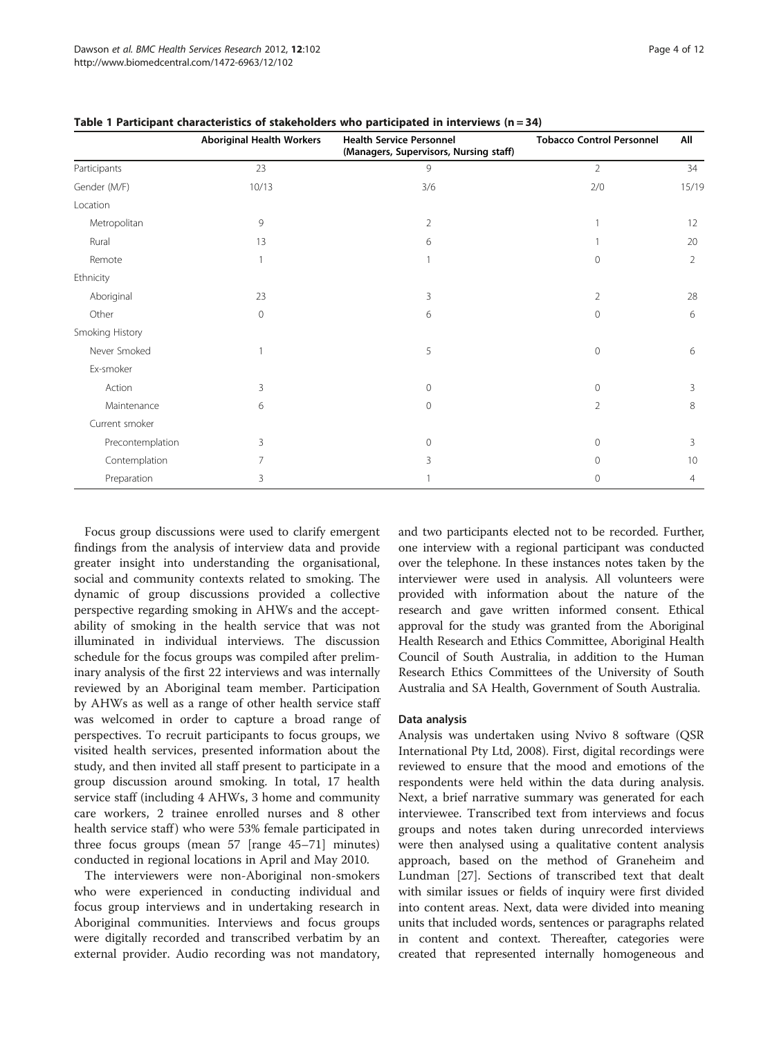|                  | <b>Aboriginal Health Workers</b> | <b>Health Service Personnel</b><br>(Managers, Supervisors, Nursing staff) | <b>Tobacco Control Personnel</b> | All            |
|------------------|----------------------------------|---------------------------------------------------------------------------|----------------------------------|----------------|
| Participants     | 23                               | 9                                                                         | $\overline{2}$                   | 34             |
| Gender (M/F)     | 10/13                            | 3/6                                                                       | 2/0                              | 15/19          |
| Location         |                                  |                                                                           |                                  |                |
| Metropolitan     | 9                                | $\overline{2}$                                                            |                                  | 12             |
| Rural            | 13                               | 6                                                                         |                                  | 20             |
| Remote           |                                  |                                                                           | 0                                | $\overline{2}$ |
| Ethnicity        |                                  |                                                                           |                                  |                |
| Aboriginal       | 23                               | 3                                                                         | 2                                | 28             |
| Other            | $\mathbf 0$                      | 6                                                                         | $\circ$                          | 6              |
| Smoking History  |                                  |                                                                           |                                  |                |
| Never Smoked     |                                  | 5                                                                         | 0                                | 6              |
| Ex-smoker        |                                  |                                                                           |                                  |                |
| Action           | 3                                | $\circ$                                                                   | 0                                | 3              |
| Maintenance      | 6                                | $\mathbf{0}$                                                              | $\overline{2}$                   | 8              |
| Current smoker   |                                  |                                                                           |                                  |                |
| Precontemplation | 3                                | 0                                                                         | $\circ$                          | 3              |
| Contemplation    |                                  | 3                                                                         | $\Omega$                         | 10             |
| Preparation      | 3                                |                                                                           | $\Omega$                         | 4              |

Table 1 Participant characteristics of stakeholders who participated in interviews ( $n = 34$ )

Focus group discussions were used to clarify emergent findings from the analysis of interview data and provide greater insight into understanding the organisational, social and community contexts related to smoking. The dynamic of group discussions provided a collective perspective regarding smoking in AHWs and the acceptability of smoking in the health service that was not illuminated in individual interviews. The discussion schedule for the focus groups was compiled after preliminary analysis of the first 22 interviews and was internally reviewed by an Aboriginal team member. Participation by AHWs as well as a range of other health service staff was welcomed in order to capture a broad range of perspectives. To recruit participants to focus groups, we visited health services, presented information about the study, and then invited all staff present to participate in a group discussion around smoking. In total, 17 health service staff (including 4 AHWs, 3 home and community care workers, 2 trainee enrolled nurses and 8 other health service staff) who were 53% female participated in three focus groups (mean 57 [range 45–71] minutes) conducted in regional locations in April and May 2010.

The interviewers were non-Aboriginal non-smokers who were experienced in conducting individual and focus group interviews and in undertaking research in Aboriginal communities. Interviews and focus groups were digitally recorded and transcribed verbatim by an external provider. Audio recording was not mandatory, and two participants elected not to be recorded. Further, one interview with a regional participant was conducted over the telephone. In these instances notes taken by the interviewer were used in analysis. All volunteers were provided with information about the nature of the research and gave written informed consent. Ethical approval for the study was granted from the Aboriginal Health Research and Ethics Committee, Aboriginal Health Council of South Australia, in addition to the Human Research Ethics Committees of the University of South Australia and SA Health, Government of South Australia.

#### Data analysis

Analysis was undertaken using Nvivo 8 software (QSR International Pty Ltd, 2008). First, digital recordings were reviewed to ensure that the mood and emotions of the respondents were held within the data during analysis. Next, a brief narrative summary was generated for each interviewee. Transcribed text from interviews and focus groups and notes taken during unrecorded interviews were then analysed using a qualitative content analysis approach, based on the method of Graneheim and Lundman [27]. Sections of transcribed text that dealt with similar issues or fields of inquiry were first divided into content areas. Next, data were divided into meaning units that included words, sentences or paragraphs related in content and context. Thereafter, categories were created that represented internally homogeneous and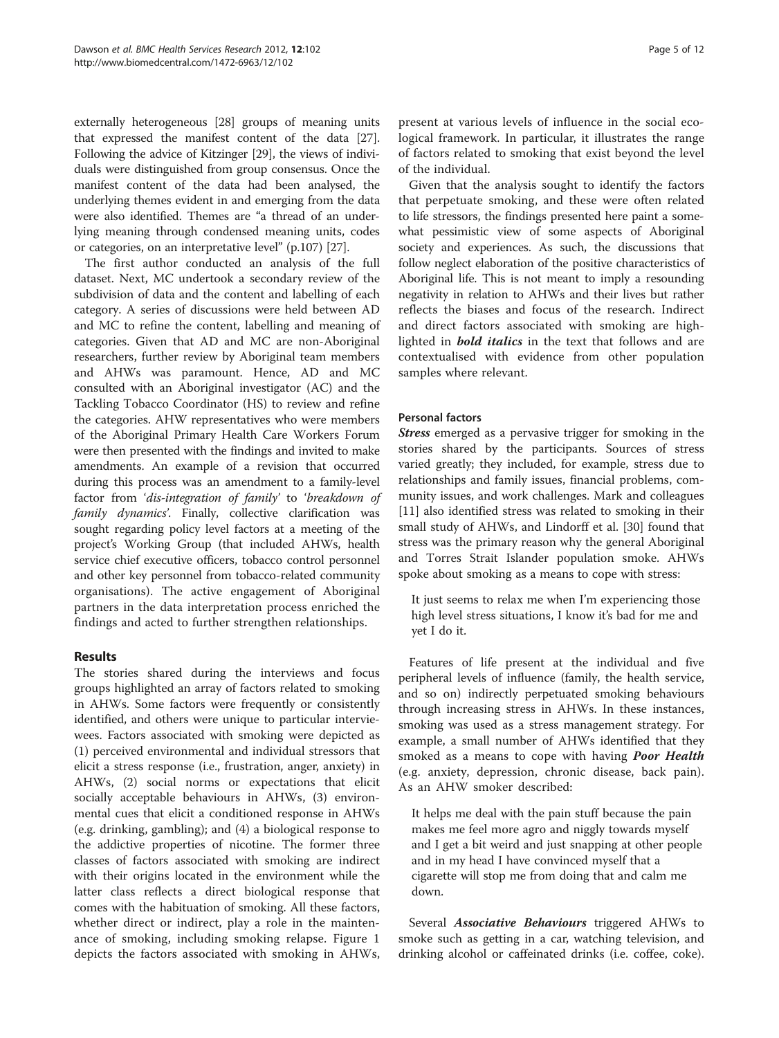externally heterogeneous [28] groups of meaning units that expressed the manifest content of the data [27]. Following the advice of Kitzinger [29], the views of individuals were distinguished from group consensus. Once the manifest content of the data had been analysed, the underlying themes evident in and emerging from the data were also identified. Themes are "a thread of an underlying meaning through condensed meaning units, codes or categories, on an interpretative level" (p.107) [27].

The first author conducted an analysis of the full dataset. Next, MC undertook a secondary review of the subdivision of data and the content and labelling of each category. A series of discussions were held between AD and MC to refine the content, labelling and meaning of categories. Given that AD and MC are non-Aboriginal researchers, further review by Aboriginal team members and AHWs was paramount. Hence, AD and MC consulted with an Aboriginal investigator (AC) and the Tackling Tobacco Coordinator (HS) to review and refine the categories. AHW representatives who were members of the Aboriginal Primary Health Care Workers Forum were then presented with the findings and invited to make amendments. An example of a revision that occurred during this process was an amendment to a family-level factor from 'dis-integration of family' to 'breakdown of family dynamics'. Finally, collective clarification was sought regarding policy level factors at a meeting of the project's Working Group (that included AHWs, health service chief executive officers, tobacco control personnel and other key personnel from tobacco-related community organisations). The active engagement of Aboriginal partners in the data interpretation process enriched the findings and acted to further strengthen relationships.

## Results

The stories shared during the interviews and focus groups highlighted an array of factors related to smoking in AHWs. Some factors were frequently or consistently identified, and others were unique to particular interviewees. Factors associated with smoking were depicted as (1) perceived environmental and individual stressors that elicit a stress response (i.e., frustration, anger, anxiety) in AHWs, (2) social norms or expectations that elicit socially acceptable behaviours in AHWs, (3) environmental cues that elicit a conditioned response in AHWs (e.g. drinking, gambling); and (4) a biological response to the addictive properties of nicotine. The former three classes of factors associated with smoking are indirect with their origins located in the environment while the latter class reflects a direct biological response that comes with the habituation of smoking. All these factors, whether direct or indirect, play a role in the maintenance of smoking, including smoking relapse. Figure 1 depicts the factors associated with smoking in AHWs, present at various levels of influence in the social ecological framework. In particular, it illustrates the range of factors related to smoking that exist beyond the level of the individual.

Given that the analysis sought to identify the factors that perpetuate smoking, and these were often related to life stressors, the findings presented here paint a somewhat pessimistic view of some aspects of Aboriginal society and experiences. As such, the discussions that follow neglect elaboration of the positive characteristics of Aboriginal life. This is not meant to imply a resounding negativity in relation to AHWs and their lives but rather reflects the biases and focus of the research. Indirect and direct factors associated with smoking are highlighted in **bold italics** in the text that follows and are contextualised with evidence from other population samples where relevant.

## Personal factors

Stress emerged as a pervasive trigger for smoking in the stories shared by the participants. Sources of stress varied greatly; they included, for example, stress due to relationships and family issues, financial problems, community issues, and work challenges. Mark and colleagues [11] also identified stress was related to smoking in their small study of AHWs, and Lindorff et al. [30] found that stress was the primary reason why the general Aboriginal and Torres Strait Islander population smoke. AHWs spoke about smoking as a means to cope with stress:

It just seems to relax me when I'm experiencing those high level stress situations, I know it's bad for me and yet I do it.

Features of life present at the individual and five peripheral levels of influence (family, the health service, and so on) indirectly perpetuated smoking behaviours through increasing stress in AHWs. In these instances, smoking was used as a stress management strategy. For example, a small number of AHWs identified that they smoked as a means to cope with having **Poor Health** (e.g. anxiety, depression, chronic disease, back pain). As an AHW smoker described:

It helps me deal with the pain stuff because the pain makes me feel more agro and niggly towards myself and I get a bit weird and just snapping at other people and in my head I have convinced myself that a cigarette will stop me from doing that and calm me down.

Several Associative Behaviours triggered AHWs to smoke such as getting in a car, watching television, and drinking alcohol or caffeinated drinks (i.e. coffee, coke).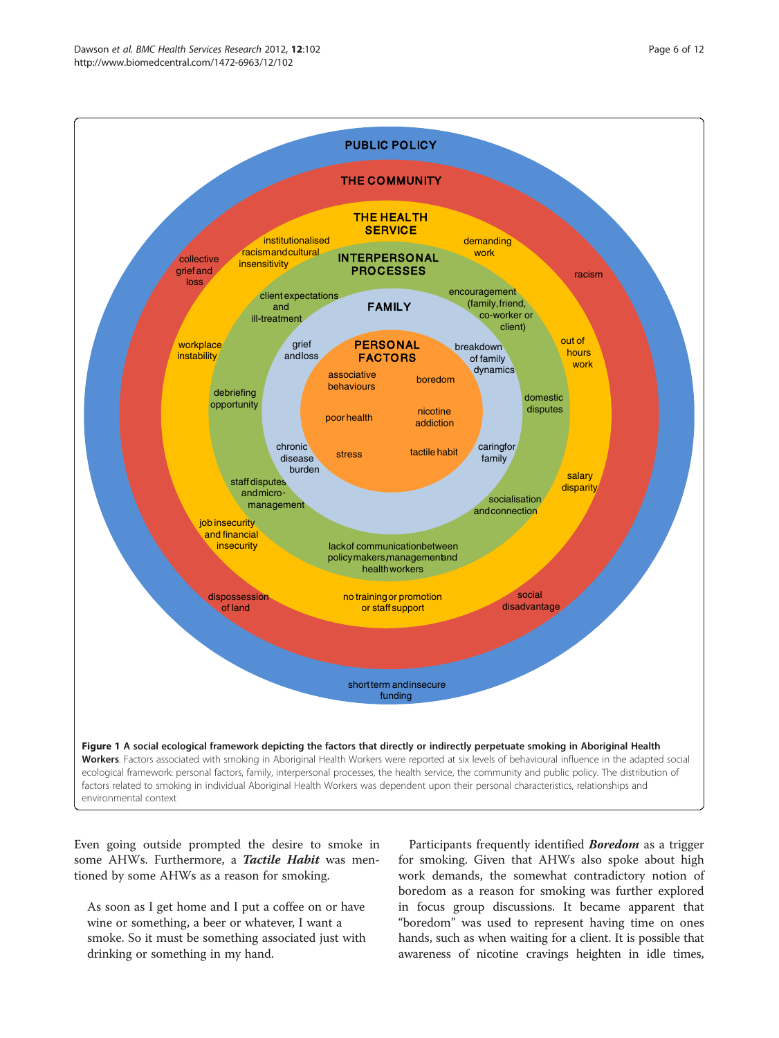

Even going outside prompted the desire to smoke in some AHWs. Furthermore, a Tactile Habit was mentioned by some AHWs as a reason for smoking.

As soon as I get home and I put a coffee on or have wine or something, a beer or whatever, I want a smoke. So it must be something associated just with drinking or something in my hand.

Participants frequently identified **Boredom** as a trigger for smoking. Given that AHWs also spoke about high work demands, the somewhat contradictory notion of boredom as a reason for smoking was further explored in focus group discussions. It became apparent that "boredom" was used to represent having time on ones hands, such as when waiting for a client. It is possible that awareness of nicotine cravings heighten in idle times,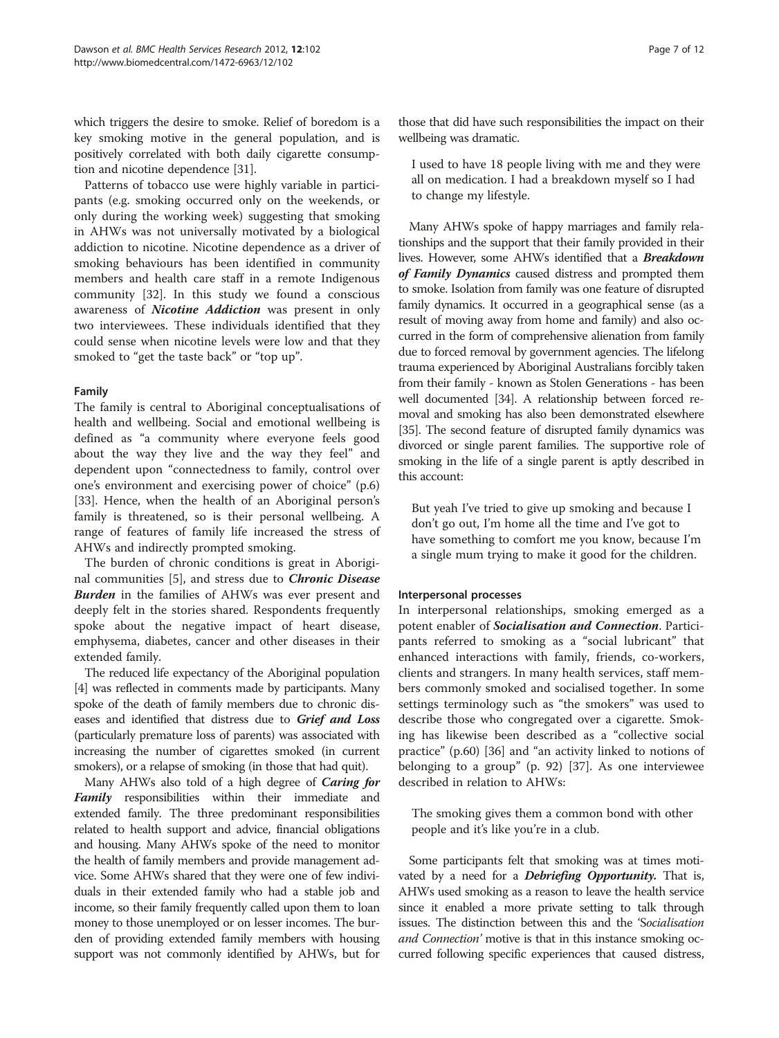which triggers the desire to smoke. Relief of boredom is a key smoking motive in the general population, and is positively correlated with both daily cigarette consumption and nicotine dependence [31].

Patterns of tobacco use were highly variable in participants (e.g. smoking occurred only on the weekends, or only during the working week) suggesting that smoking in AHWs was not universally motivated by a biological addiction to nicotine. Nicotine dependence as a driver of smoking behaviours has been identified in community members and health care staff in a remote Indigenous community [32]. In this study we found a conscious awareness of *Nicotine Addiction* was present in only two interviewees. These individuals identified that they could sense when nicotine levels were low and that they smoked to "get the taste back" or "top up".

## Family

The family is central to Aboriginal conceptualisations of health and wellbeing. Social and emotional wellbeing is defined as "a community where everyone feels good about the way they live and the way they feel" and dependent upon "connectedness to family, control over one's environment and exercising power of choice" (p.6) [33]. Hence, when the health of an Aboriginal person's family is threatened, so is their personal wellbeing. A range of features of family life increased the stress of AHWs and indirectly prompted smoking.

The burden of chronic conditions is great in Aboriginal communities [5], and stress due to *Chronic Disease* Burden in the families of AHWs was ever present and deeply felt in the stories shared. Respondents frequently spoke about the negative impact of heart disease, emphysema, diabetes, cancer and other diseases in their extended family.

The reduced life expectancy of the Aboriginal population [4] was reflected in comments made by participants. Many spoke of the death of family members due to chronic diseases and identified that distress due to Grief and Loss (particularly premature loss of parents) was associated with increasing the number of cigarettes smoked (in current smokers), or a relapse of smoking (in those that had quit).

Many AHWs also told of a high degree of *Caring for* **Family** responsibilities within their immediate and extended family. The three predominant responsibilities related to health support and advice, financial obligations and housing. Many AHWs spoke of the need to monitor the health of family members and provide management advice. Some AHWs shared that they were one of few individuals in their extended family who had a stable job and income, so their family frequently called upon them to loan money to those unemployed or on lesser incomes. The burden of providing extended family members with housing support was not commonly identified by AHWs, but for those that did have such responsibilities the impact on their wellbeing was dramatic.

I used to have 18 people living with me and they were all on medication. I had a breakdown myself so I had to change my lifestyle.

Many AHWs spoke of happy marriages and family relationships and the support that their family provided in their lives. However, some AHWs identified that a **Breakdown** of Family Dynamics caused distress and prompted them to smoke. Isolation from family was one feature of disrupted family dynamics. It occurred in a geographical sense (as a result of moving away from home and family) and also occurred in the form of comprehensive alienation from family due to forced removal by government agencies. The lifelong trauma experienced by Aboriginal Australians forcibly taken from their family - known as Stolen Generations - has been well documented [34]. A relationship between forced removal and smoking has also been demonstrated elsewhere [35]. The second feature of disrupted family dynamics was divorced or single parent families. The supportive role of smoking in the life of a single parent is aptly described in this account:

But yeah I've tried to give up smoking and because I don't go out, I'm home all the time and I've got to have something to comfort me you know, because I'm a single mum trying to make it good for the children.

#### Interpersonal processes

In interpersonal relationships, smoking emerged as a potent enabler of Socialisation and Connection. Participants referred to smoking as a "social lubricant" that enhanced interactions with family, friends, co-workers, clients and strangers. In many health services, staff members commonly smoked and socialised together. In some settings terminology such as "the smokers" was used to describe those who congregated over a cigarette. Smoking has likewise been described as a "collective social practice" (p.60) [36] and "an activity linked to notions of belonging to a group" (p. 92) [37]. As one interviewee described in relation to AHWs:

The smoking gives them a common bond with other people and it's like you're in a club.

Some participants felt that smoking was at times motivated by a need for a *Debriefing Opportunity*. That is, AHWs used smoking as a reason to leave the health service since it enabled a more private setting to talk through issues. The distinction between this and the 'Socialisation and Connection' motive is that in this instance smoking occurred following specific experiences that caused distress,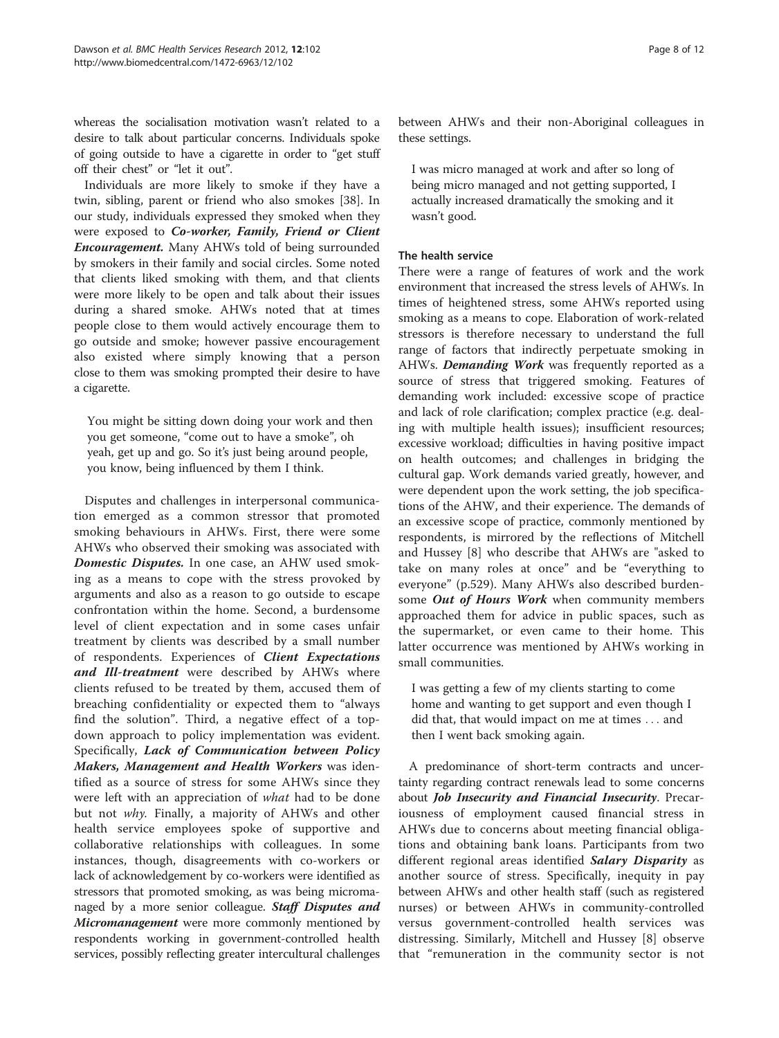whereas the socialisation motivation wasn't related to a desire to talk about particular concerns. Individuals spoke of going outside to have a cigarette in order to "get stuff off their chest" or "let it out".

Individuals are more likely to smoke if they have a twin, sibling, parent or friend who also smokes [38]. In our study, individuals expressed they smoked when they were exposed to Co-worker, Family, Friend or Client **Encouragement.** Many AHWs told of being surrounded by smokers in their family and social circles. Some noted that clients liked smoking with them, and that clients were more likely to be open and talk about their issues during a shared smoke. AHWs noted that at times people close to them would actively encourage them to go outside and smoke; however passive encouragement also existed where simply knowing that a person close to them was smoking prompted their desire to have a cigarette.

You might be sitting down doing your work and then you get someone, "come out to have a smoke", oh yeah, get up and go. So it's just being around people, you know, being influenced by them I think.

Disputes and challenges in interpersonal communication emerged as a common stressor that promoted smoking behaviours in AHWs. First, there were some AHWs who observed their smoking was associated with Domestic Disputes. In one case, an AHW used smoking as a means to cope with the stress provoked by arguments and also as a reason to go outside to escape confrontation within the home. Second, a burdensome level of client expectation and in some cases unfair treatment by clients was described by a small number of respondents. Experiences of Client Expectations and Ill-treatment were described by AHWs where clients refused to be treated by them, accused them of breaching confidentiality or expected them to "always find the solution". Third, a negative effect of a topdown approach to policy implementation was evident. Specifically, Lack of Communication between Policy Makers, Management and Health Workers was identified as a source of stress for some AHWs since they were left with an appreciation of what had to be done but not why. Finally, a majority of AHWs and other health service employees spoke of supportive and collaborative relationships with colleagues. In some instances, though, disagreements with co-workers or lack of acknowledgement by co-workers were identified as stressors that promoted smoking, as was being micromanaged by a more senior colleague. Staff Disputes and Micromanagement were more commonly mentioned by respondents working in government-controlled health services, possibly reflecting greater intercultural challenges

between AHWs and their non-Aboriginal colleagues in these settings.

I was micro managed at work and after so long of being micro managed and not getting supported, I actually increased dramatically the smoking and it wasn't good.

#### The health service

There were a range of features of work and the work environment that increased the stress levels of AHWs. In times of heightened stress, some AHWs reported using smoking as a means to cope. Elaboration of work-related stressors is therefore necessary to understand the full range of factors that indirectly perpetuate smoking in AHWs. **Demanding Work** was frequently reported as a source of stress that triggered smoking. Features of demanding work included: excessive scope of practice and lack of role clarification; complex practice (e.g. dealing with multiple health issues); insufficient resources; excessive workload; difficulties in having positive impact on health outcomes; and challenges in bridging the cultural gap. Work demands varied greatly, however, and were dependent upon the work setting, the job specifications of the AHW, and their experience. The demands of an excessive scope of practice, commonly mentioned by respondents, is mirrored by the reflections of Mitchell and Hussey [8] who describe that AHWs are "asked to take on many roles at once" and be "everything to everyone" (p.529). Many AHWs also described burdensome Out of Hours Work when community members approached them for advice in public spaces, such as the supermarket, or even came to their home. This latter occurrence was mentioned by AHWs working in small communities.

I was getting a few of my clients starting to come home and wanting to get support and even though I did that, that would impact on me at times ... and then I went back smoking again.

A predominance of short-term contracts and uncertainty regarding contract renewals lead to some concerns about *Job Insecurity and Financial Insecurity*. Precariousness of employment caused financial stress in AHWs due to concerns about meeting financial obligations and obtaining bank loans. Participants from two different regional areas identified Salary Disparity as another source of stress. Specifically, inequity in pay between AHWs and other health staff (such as registered nurses) or between AHWs in community-controlled versus government-controlled health services was distressing. Similarly, Mitchell and Hussey [8] observe that "remuneration in the community sector is not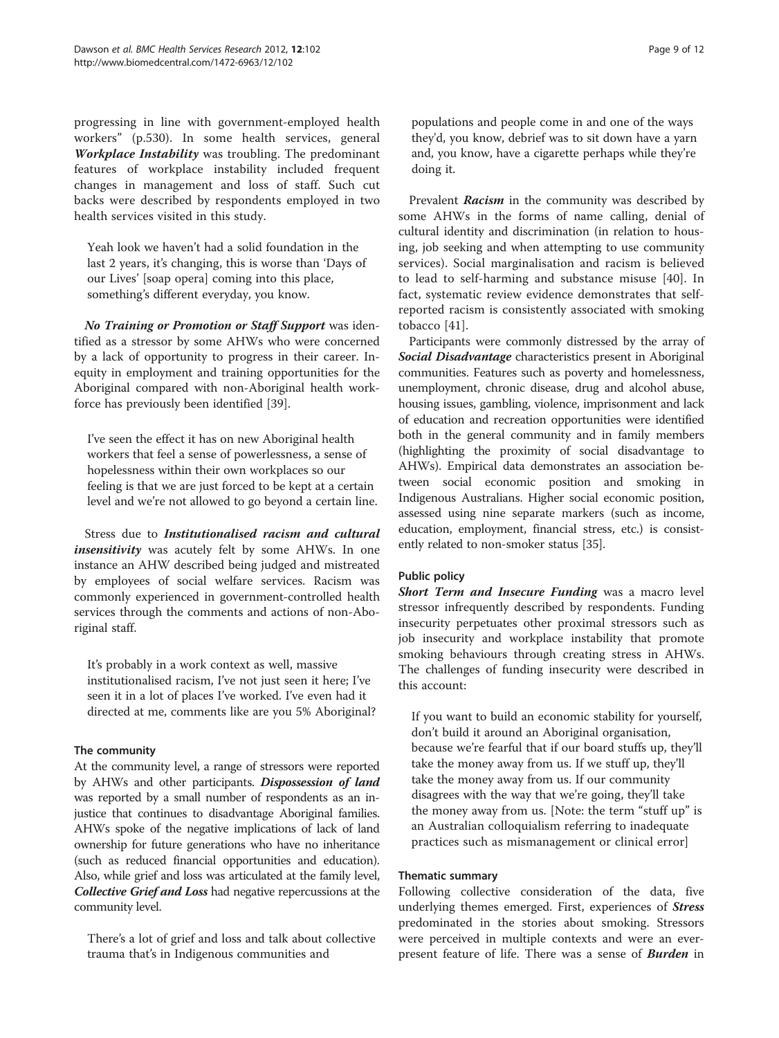progressing in line with government-employed health workers" (p.530). In some health services, general Workplace Instability was troubling. The predominant features of workplace instability included frequent changes in management and loss of staff. Such cut backs were described by respondents employed in two health services visited in this study.

Yeah look we haven't had a solid foundation in the last 2 years, it's changing, this is worse than 'Days of our Lives' [soap opera] coming into this place, something's different everyday, you know.

No Training or Promotion or Staff Support was identified as a stressor by some AHWs who were concerned by a lack of opportunity to progress in their career. Inequity in employment and training opportunities for the Aboriginal compared with non-Aboriginal health workforce has previously been identified [39].

I've seen the effect it has on new Aboriginal health workers that feel a sense of powerlessness, a sense of hopelessness within their own workplaces so our feeling is that we are just forced to be kept at a certain level and we're not allowed to go beyond a certain line.

Stress due to Institutionalised racism and cultural insensitivity was acutely felt by some AHWs. In one instance an AHW described being judged and mistreated by employees of social welfare services. Racism was commonly experienced in government-controlled health services through the comments and actions of non-Aboriginal staff.

It's probably in a work context as well, massive institutionalised racism, I've not just seen it here; I've seen it in a lot of places I've worked. I've even had it directed at me, comments like are you 5% Aboriginal?

## The community

At the community level, a range of stressors were reported by AHWs and other participants. Dispossession of land was reported by a small number of respondents as an injustice that continues to disadvantage Aboriginal families. AHWs spoke of the negative implications of lack of land ownership for future generations who have no inheritance (such as reduced financial opportunities and education). Also, while grief and loss was articulated at the family level, Collective Grief and Loss had negative repercussions at the community level.

There's a lot of grief and loss and talk about collective trauma that's in Indigenous communities and

populations and people come in and one of the ways they'd, you know, debrief was to sit down have a yarn and, you know, have a cigarette perhaps while they're doing it.

Prevalent *Racism* in the community was described by some AHWs in the forms of name calling, denial of cultural identity and discrimination (in relation to housing, job seeking and when attempting to use community services). Social marginalisation and racism is believed to lead to self-harming and substance misuse [40]. In fact, systematic review evidence demonstrates that selfreported racism is consistently associated with smoking tobacco [41].

Participants were commonly distressed by the array of Social Disadvantage characteristics present in Aboriginal communities. Features such as poverty and homelessness, unemployment, chronic disease, drug and alcohol abuse, housing issues, gambling, violence, imprisonment and lack of education and recreation opportunities were identified both in the general community and in family members (highlighting the proximity of social disadvantage to AHWs). Empirical data demonstrates an association between social economic position and smoking in Indigenous Australians. Higher social economic position, assessed using nine separate markers (such as income, education, employment, financial stress, etc.) is consistently related to non-smoker status [35].

## Public policy

Short Term and Insecure Funding was a macro level stressor infrequently described by respondents. Funding insecurity perpetuates other proximal stressors such as job insecurity and workplace instability that promote smoking behaviours through creating stress in AHWs. The challenges of funding insecurity were described in this account:

If you want to build an economic stability for yourself, don't build it around an Aboriginal organisation, because we're fearful that if our board stuffs up, they'll take the money away from us. If we stuff up, they'll take the money away from us. If our community disagrees with the way that we're going, they'll take the money away from us. [Note: the term "stuff up" is an Australian colloquialism referring to inadequate practices such as mismanagement or clinical error]

#### Thematic summary

Following collective consideration of the data, five underlying themes emerged. First, experiences of **Stress** predominated in the stories about smoking. Stressors were perceived in multiple contexts and were an everpresent feature of life. There was a sense of **Burden** in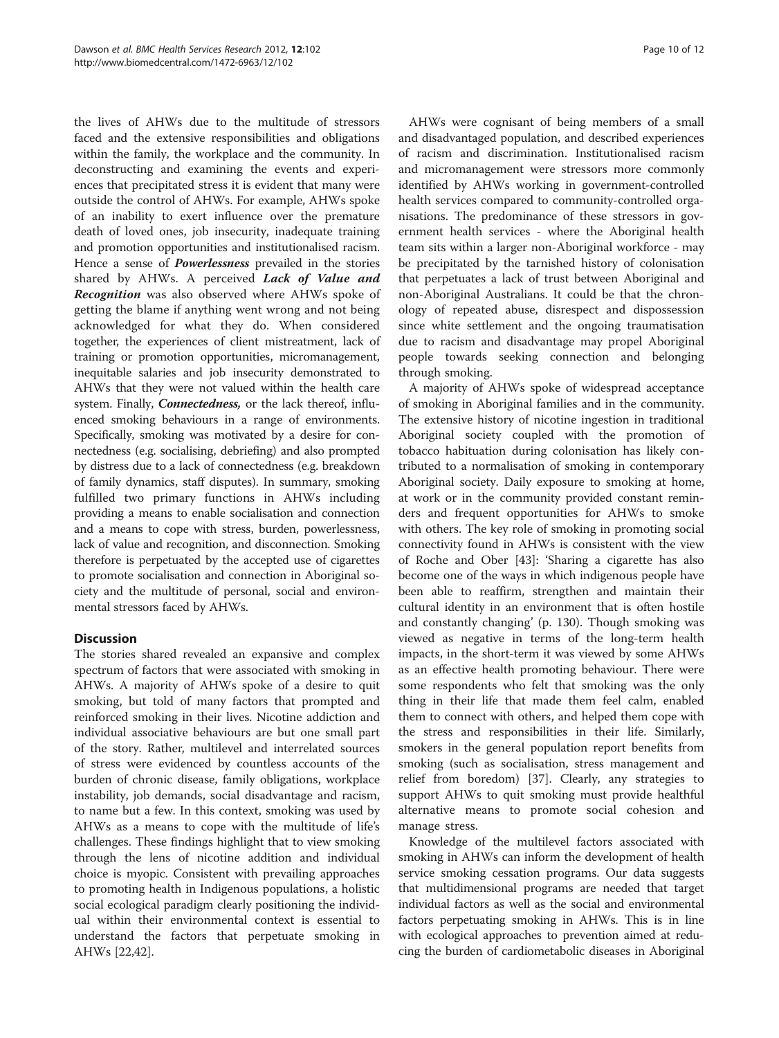the lives of AHWs due to the multitude of stressors faced and the extensive responsibilities and obligations within the family, the workplace and the community. In deconstructing and examining the events and experiences that precipitated stress it is evident that many were outside the control of AHWs. For example, AHWs spoke of an inability to exert influence over the premature death of loved ones, job insecurity, inadequate training and promotion opportunities and institutionalised racism. Hence a sense of *Powerlessness* prevailed in the stories shared by AHWs. A perceived Lack of Value and Recognition was also observed where AHWs spoke of getting the blame if anything went wrong and not being acknowledged for what they do. When considered together, the experiences of client mistreatment, lack of training or promotion opportunities, micromanagement, inequitable salaries and job insecurity demonstrated to AHWs that they were not valued within the health care system. Finally, *Connectedness*, or the lack thereof, influenced smoking behaviours in a range of environments. Specifically, smoking was motivated by a desire for connectedness (e.g. socialising, debriefing) and also prompted by distress due to a lack of connectedness (e.g. breakdown of family dynamics, staff disputes). In summary, smoking fulfilled two primary functions in AHWs including providing a means to enable socialisation and connection and a means to cope with stress, burden, powerlessness, lack of value and recognition, and disconnection. Smoking therefore is perpetuated by the accepted use of cigarettes to promote socialisation and connection in Aboriginal society and the multitude of personal, social and environmental stressors faced by AHWs.

## **Discussion**

The stories shared revealed an expansive and complex spectrum of factors that were associated with smoking in AHWs. A majority of AHWs spoke of a desire to quit smoking, but told of many factors that prompted and reinforced smoking in their lives. Nicotine addiction and individual associative behaviours are but one small part of the story. Rather, multilevel and interrelated sources of stress were evidenced by countless accounts of the burden of chronic disease, family obligations, workplace instability, job demands, social disadvantage and racism, to name but a few. In this context, smoking was used by AHWs as a means to cope with the multitude of life's challenges. These findings highlight that to view smoking through the lens of nicotine addition and individual choice is myopic. Consistent with prevailing approaches to promoting health in Indigenous populations, a holistic social ecological paradigm clearly positioning the individual within their environmental context is essential to understand the factors that perpetuate smoking in AHWs [22,42].

AHWs were cognisant of being members of a small and disadvantaged population, and described experiences of racism and discrimination. Institutionalised racism and micromanagement were stressors more commonly identified by AHWs working in government-controlled health services compared to community-controlled organisations. The predominance of these stressors in government health services - where the Aboriginal health team sits within a larger non-Aboriginal workforce - may be precipitated by the tarnished history of colonisation that perpetuates a lack of trust between Aboriginal and non-Aboriginal Australians. It could be that the chronology of repeated abuse, disrespect and dispossession since white settlement and the ongoing traumatisation due to racism and disadvantage may propel Aboriginal people towards seeking connection and belonging through smoking.

A majority of AHWs spoke of widespread acceptance of smoking in Aboriginal families and in the community. The extensive history of nicotine ingestion in traditional Aboriginal society coupled with the promotion of tobacco habituation during colonisation has likely contributed to a normalisation of smoking in contemporary Aboriginal society. Daily exposure to smoking at home, at work or in the community provided constant reminders and frequent opportunities for AHWs to smoke with others. The key role of smoking in promoting social connectivity found in AHWs is consistent with the view of Roche and Ober [43]: 'Sharing a cigarette has also become one of the ways in which indigenous people have been able to reaffirm, strengthen and maintain their cultural identity in an environment that is often hostile and constantly changing' (p. 130). Though smoking was viewed as negative in terms of the long-term health impacts, in the short-term it was viewed by some AHWs as an effective health promoting behaviour. There were some respondents who felt that smoking was the only thing in their life that made them feel calm, enabled them to connect with others, and helped them cope with the stress and responsibilities in their life. Similarly, smokers in the general population report benefits from smoking (such as socialisation, stress management and relief from boredom) [37]. Clearly, any strategies to support AHWs to quit smoking must provide healthful alternative means to promote social cohesion and manage stress.

Knowledge of the multilevel factors associated with smoking in AHWs can inform the development of health service smoking cessation programs. Our data suggests that multidimensional programs are needed that target individual factors as well as the social and environmental factors perpetuating smoking in AHWs. This is in line with ecological approaches to prevention aimed at reducing the burden of cardiometabolic diseases in Aboriginal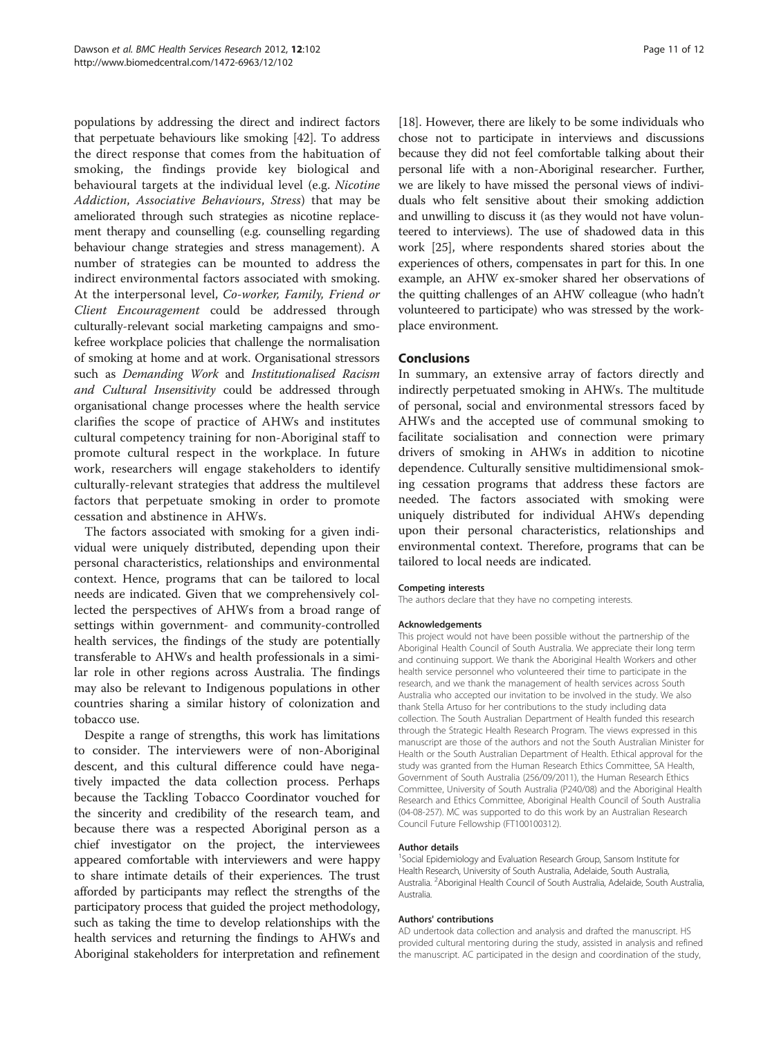populations by addressing the direct and indirect factors that perpetuate behaviours like smoking [42]. To address the direct response that comes from the habituation of smoking, the findings provide key biological and behavioural targets at the individual level (e.g. Nicotine Addiction, Associative Behaviours, Stress) that may be ameliorated through such strategies as nicotine replacement therapy and counselling (e.g. counselling regarding behaviour change strategies and stress management). A number of strategies can be mounted to address the indirect environmental factors associated with smoking. At the interpersonal level, Co-worker, Family, Friend or Client Encouragement could be addressed through culturally-relevant social marketing campaigns and smokefree workplace policies that challenge the normalisation of smoking at home and at work. Organisational stressors such as Demanding Work and Institutionalised Racism and Cultural Insensitivity could be addressed through organisational change processes where the health service clarifies the scope of practice of AHWs and institutes cultural competency training for non-Aboriginal staff to promote cultural respect in the workplace. In future work, researchers will engage stakeholders to identify culturally-relevant strategies that address the multilevel factors that perpetuate smoking in order to promote cessation and abstinence in AHWs.

The factors associated with smoking for a given individual were uniquely distributed, depending upon their personal characteristics, relationships and environmental context. Hence, programs that can be tailored to local needs are indicated. Given that we comprehensively collected the perspectives of AHWs from a broad range of settings within government- and community-controlled health services, the findings of the study are potentially transferable to AHWs and health professionals in a similar role in other regions across Australia. The findings may also be relevant to Indigenous populations in other countries sharing a similar history of colonization and tobacco use.

Despite a range of strengths, this work has limitations to consider. The interviewers were of non-Aboriginal descent, and this cultural difference could have negatively impacted the data collection process. Perhaps because the Tackling Tobacco Coordinator vouched for the sincerity and credibility of the research team, and because there was a respected Aboriginal person as a chief investigator on the project, the interviewees appeared comfortable with interviewers and were happy to share intimate details of their experiences. The trust afforded by participants may reflect the strengths of the participatory process that guided the project methodology, such as taking the time to develop relationships with the health services and returning the findings to AHWs and Aboriginal stakeholders for interpretation and refinement [18]. However, there are likely to be some individuals who chose not to participate in interviews and discussions because they did not feel comfortable talking about their personal life with a non-Aboriginal researcher. Further, we are likely to have missed the personal views of individuals who felt sensitive about their smoking addiction and unwilling to discuss it (as they would not have volunteered to interviews). The use of shadowed data in this work [25], where respondents shared stories about the experiences of others, compensates in part for this. In one example, an AHW ex-smoker shared her observations of the quitting challenges of an AHW colleague (who hadn't volunteered to participate) who was stressed by the workplace environment.

#### Conclusions

In summary, an extensive array of factors directly and indirectly perpetuated smoking in AHWs. The multitude of personal, social and environmental stressors faced by AHWs and the accepted use of communal smoking to facilitate socialisation and connection were primary drivers of smoking in AHWs in addition to nicotine dependence. Culturally sensitive multidimensional smoking cessation programs that address these factors are needed. The factors associated with smoking were uniquely distributed for individual AHWs depending upon their personal characteristics, relationships and environmental context. Therefore, programs that can be tailored to local needs are indicated.

#### Competing interests

The authors declare that they have no competing interests.

#### Acknowledgements

This project would not have been possible without the partnership of the Aboriginal Health Council of South Australia. We appreciate their long term and continuing support. We thank the Aboriginal Health Workers and other health service personnel who volunteered their time to participate in the research, and we thank the management of health services across South Australia who accepted our invitation to be involved in the study. We also thank Stella Artuso for her contributions to the study including data collection. The South Australian Department of Health funded this research through the Strategic Health Research Program. The views expressed in this manuscript are those of the authors and not the South Australian Minister for Health or the South Australian Department of Health. Ethical approval for the study was granted from the Human Research Ethics Committee, SA Health, Government of South Australia (256/09/2011), the Human Research Ethics Committee, University of South Australia (P240/08) and the Aboriginal Health Research and Ethics Committee, Aboriginal Health Council of South Australia (04-08-257). MC was supported to do this work by an Australian Research Council Future Fellowship (FT100100312).

#### Author details

<sup>1</sup>Social Epidemiology and Evaluation Research Group, Sansom Institute for Health Research, University of South Australia, Adelaide, South Australia, Australia. <sup>2</sup> Aboriginal Health Council of South Australia, Adelaide, South Australia Australia.

#### Authors' contributions

AD undertook data collection and analysis and drafted the manuscript. HS provided cultural mentoring during the study, assisted in analysis and refined the manuscript. AC participated in the design and coordination of the study,